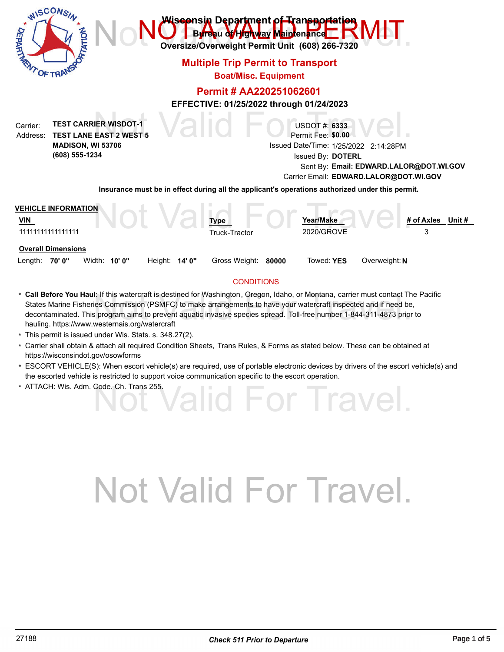| WISCONSIN<br><b>DEPARTNE</b><br>RTATION<br><b>OF TRA</b>                                                                             | Byreau of Highway Maintenance<br><b>Multiple Trip Permit to Transport</b><br><b>Boat/Misc. Equipment</b> |  | Wisconsin Department of Transportation<br>Oversize/Overweight Permit Unit (608) 266-7320                                                                                                      |               |                        |  |
|--------------------------------------------------------------------------------------------------------------------------------------|----------------------------------------------------------------------------------------------------------|--|-----------------------------------------------------------------------------------------------------------------------------------------------------------------------------------------------|---------------|------------------------|--|
|                                                                                                                                      | <b>Permit # AA220251062601</b>                                                                           |  |                                                                                                                                                                                               |               |                        |  |
|                                                                                                                                      | EFFECTIVE: 01/25/2022 through 01/24/2023                                                                 |  |                                                                                                                                                                                               |               |                        |  |
| <b>TEST CARRIER WISDOT-1</b><br>Carrier:<br><b>TEST LANE EAST 2 WEST 5</b><br>Address:<br><b>MADISON, WI 53706</b><br>(608) 555-1234 |                                                                                                          |  | <b>USDOT #: 6333</b><br>Permit Fee: \$0.00<br>Issued Date/Time: 1/25/2022 2:14:28PM<br>Issued By: DOTERL<br>Sent By: Email: EDWARD.LALOR@DOT.WI.GOV<br>Carrier Email: EDWARD.LALOR@DOT.WI.GOV |               |                        |  |
| Insurance must be in effect during all the applicant's operations authorized under this permit.                                      |                                                                                                          |  |                                                                                                                                                                                               |               |                        |  |
| <b>VEHICLE INFORMATION</b><br><b>VIN</b><br>11111111111111111                                                                        | <b>Type</b><br>Truck-Tractor                                                                             |  | Year/Make<br>2020/GROVE                                                                                                                                                                       |               | # of Axles Unit #<br>3 |  |
| <b>Overall Dimensions</b>                                                                                                            |                                                                                                          |  |                                                                                                                                                                                               |               |                        |  |
| Width: <b>10' 0"</b><br>Length: $70'0''$<br>Height: <b>14' 0"</b>                                                                    | Gross Weight: 80000                                                                                      |  | Towed: YES                                                                                                                                                                                    | Overweight: N |                        |  |
| <b>CONDITIONS</b>                                                                                                                    |                                                                                                          |  |                                                                                                                                                                                               |               |                        |  |
| . Call Before You Haululf this watercraft is destined for Washington, Oregon, Idaho, or Montana, carrier must contact The Pacific    |                                                                                                          |  |                                                                                                                                                                                               |               |                        |  |

I: If this watercraft is destined for Washington, Oregon, Idaho, or Montana, carrier must contact Th<br>ies Commission (PSMFC) to make arrangements to have your watercraft inspected and if need be<br>s program aims to prevent aq **Call Before You Haul**: If this watercraft is destined for Washington, Oregon, Idaho, or Montana, carrier must contact The Pacific States Marine Fisheries Commission (PSMFC) to make arrangements to have your watercraft inspected and if need be, decontaminated. This program aims to prevent aquatic invasive species spread. Toll-free number 1-844-311-4873 prior to hauling. https://www.westernais.org/watercraft \*

\* This permit is issued under Wis. Stats. s. 348.27(2).

- Carrier shall obtain & attach all required Condition Sheets, Trans Rules, & Forms as stated below. These can be obtained at \* https://wisconsindot.gov/osowforms
- ESCORT VEHICLE(S): When escort vehicle(s) are required, use of portable electronic devices by drivers of the escort vehicle(s) and \* the escorted vehicle is restricted to support voice communication specific to the escort operation.
- \* ATTACH: Wis. Adm. Code. Ch. Trans 255.<br>
OLIOFICITY ANGLES

# Not Valid For Travel.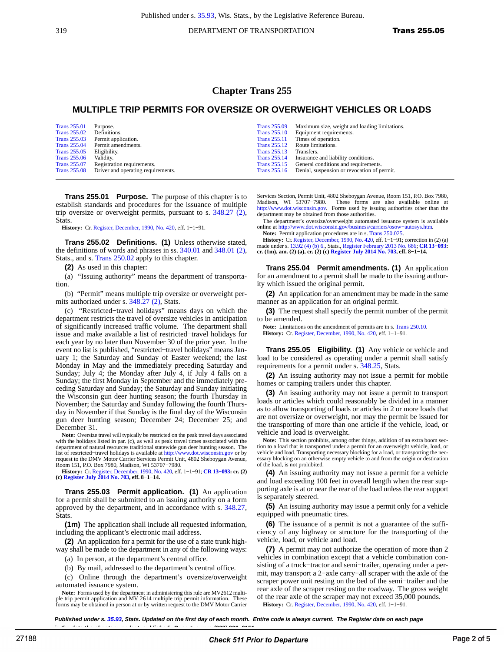319 **Trans 255.05 DEPARTMENT OF TRANSPORTATION Trans 255.05** 

## **Chapter Trans 255**

# **MULTIPLE TRIP PERMITS FOR OVERSIZE OR OVERWEIGHT VEHICLES OR LOADS**

| <b>Trans 255.01</b> | Purpose.                           | <b>Trans 255.09</b> | Maximum size, weight and loading limitations. |
|---------------------|------------------------------------|---------------------|-----------------------------------------------|
| <b>Trans 255.02</b> | Definitions.                       | <b>Trans 255.10</b> | Equipment requirements.                       |
| <b>Trans 255.03</b> | Permit application.                | <b>Trans 255.11</b> | Times of operation.                           |
| <b>Trans 255.04</b> | Permit amendments.                 | <b>Trans 255.12</b> | Route limitations.                            |
| <b>Trans 255.05</b> | Eligibility.                       | <b>Trans 255.13</b> | Transfers.                                    |
| <b>Trans 255.06</b> | Validity.                          | <b>Trans 255.14</b> | Insurance and liability conditions.           |
| <b>Trans 255.07</b> | Registration requirements.         | <b>Trans 255.15</b> | General conditions and requirements.          |
| <b>Trans 255.08</b> | Driver and operating requirements. | <b>Trans 255.16</b> | Denial, suspension or revocation of permit.   |

**Trans 255.01 Purpose.** The purpose of this chapter is to establish standards and procedures for the issuance of multiple trip oversize or overweight permits, pursuant to s. [348.27 \(2\),](http://docs.legis.wisconsin.gov/document/statutes/348.27(2)) Stats.

**History:** Cr. [Register, December, 1990, No. 420](http://docs.legis.wisconsin.gov/document/register/420/b/toc), eff. 1−1−91.

**Trans 255.02 Definitions. (1)** Unless otherwise stated, the definitions of words and phrases in ss. [340.01](http://docs.legis.wisconsin.gov/document/statutes/340.01) and [348.01 \(2\),](http://docs.legis.wisconsin.gov/document/statutes/348.01(2)) Stats., and s. [Trans 250.02](http://docs.legis.wisconsin.gov/document/administrativecode/Trans%20250.02) apply to this chapter.

**(2)** As used in this chapter:

(a) "Issuing authority" means the department of transportation.

(b) "Permit" means multiple trip oversize or overweight per-mits authorized under s. [348.27 \(2\),](http://docs.legis.wisconsin.gov/document/statutes/348.27(2)) Stats.

(c) "Restricted−travel holidays" means days on which the department restricts the travel of oversize vehicles in anticipation of significantly increased traffic volume. The department shall issue and make available a list of restricted−travel holidays for each year by no later than November 30 of the prior year. In the event no list is published, "restricted−travel holidays" means January 1; the Saturday and Sunday of Easter weekend; the last Monday in May and the immediately preceding Saturday and Sunday; July 4; the Monday after July 4, if July 4 falls on a Sunday; the first Monday in September and the immediately preceding Saturday and Sunday; the Saturday and Sunday initiating the Wisconsin gun deer hunting season; the fourth Thursday in November; the Saturday and Sunday following the fourth Thursday in November if that Sunday is the final day of the Wisconsin gun deer hunting season; December 24; December 25; and December 31.

**Note:** Oversize travel will typically be restricted on the peak travel days associated with the holidays listed in par. (c), as well as peak travel times associated with the department of natural resources traditional statewide gun deer hunting season. The list of restricted−travel holidays is available at <http://www.dot.wisconsin.gov>or by request to the DMV Motor Carrier Services Permit Unit, 4802 Sheboygan Avenue, Room 151, P.O. Box 7980, Madison, WI 53707−7980.

**History:** Cr. [Register, December, 1990, No. 420](http://docs.legis.wisconsin.gov/document/register/420/b/toc), eff. 1−1−91; **[CR 13−093:](http://docs.legis.wisconsin.gov/document/cr/2013/93) cr. (2) (c) [Register July 2014 No. 703,](http://docs.legis.wisconsin.gov/document/register/703/b/toc) eff. 8−1−14.**

**Trans 255.03 Permit application. (1)** An application for a permit shall be submitted to an issuing authority on a form approved by the department, and in accordance with s. [348.27,](http://docs.legis.wisconsin.gov/document/statutes/348.27) **Stats**.

**(1m)** The application shall include all requested information, including the applicant's electronic mail address.

**(2)** An application for a permit for the use of a state trunk highway shall be made to the department in any of the following ways:

(a) In person, at the department's central office.

(b) By mail, addressed to the department's central office.

(c) Online through the department's oversize/overweight automated issuance system.

**Note:** Forms used by the department in administering this rule are MV2612 multiple trip permit application and MV 2614 multiple trip permit information. These forms may be obtained in person at or by written request to the DMV Motor Carrier

Services Section, Permit Unit, 4802 Sheboygan Avenue, Room 151, P.O. Box 7980, Madison, WI 53707−7980. These forms are also available online at <http://www.dot.wisconsin.gov>. Forms used by issuing authorities other than the department may be obtained from those authorities.

The department's oversize/overweight automated issuance system is available online at [http://www.dot.wisconsin.gov/business/carriers/osow−autosys.htm](http://www.dot.wisconsin.gov/business/carriers/osow-autosys.htm). **Note:** Permit application procedures are in s. [Trans 250.025](http://docs.legis.wisconsin.gov/document/administrativecode/Trans%20250.025).

**History:** Cr. [Register, December, 1990, No. 420](http://docs.legis.wisconsin.gov/document/register/420/b/toc), eff. 1–1–91; correction in (2) (a) made under s. [13.92 \(4\) \(b\) 6.,](http://docs.legis.wisconsin.gov/document/statutes/13.92(4)(b)6.) Stats., [Register February 2013 No. 686](http://docs.legis.wisconsin.gov/document/register/686/b/toc); CR 13–093: Cr. (1m), am. (2) (a), cr. (2) (c) Register July 2014

**Trans 255.04 Permit amendments. (1)** An application for an amendment to a permit shall be made to the issuing authority which issued the original permit.

**(2)** An application for an amendment may be made in the same manner as an application for an original permit.

**(3)** The request shall specify the permit number of the permit to be amended.

**Note:** Limitations on the amendment of permits are in s. [Trans 250.10.](http://docs.legis.wisconsin.gov/document/administrativecode/Trans%20250.10) **History:** Cr. [Register, December, 1990, No. 420,](http://docs.legis.wisconsin.gov/document/register/420/b/toc) eff. 1−1−91.

**Trans 255.05 Eligibility. (1)** Any vehicle or vehicle and load to be considered as operating under a permit shall satisfy requirements for a permit under s. [348.25,](http://docs.legis.wisconsin.gov/document/statutes/348.25) Stats.

**(2)** An issuing authority may not issue a permit for mobile homes or camping trailers under this chapter.

**(3)** An issuing authority may not issue a permit to transport loads or articles which could reasonably be divided in a manner as to allow transporting of loads or articles in 2 or more loads that are not oversize or overweight, nor may the permit be issued for the transporting of more than one article if the vehicle, load, or vehicle and load is overweight.

**Note:** This section prohibits, among other things, addition of an extra boom section to a load that is transported under a permit for an overweight vehicle, load, or vehicle and load. Transporting necessary blocking for a load, or transporting the necessary blocking on an otherwise empty vehicle to and from the origin or destination of the load, is not prohibited.

**(4)** An issuing authority may not issue a permit for a vehicle and load exceeding 100 feet in overall length when the rear supporting axle is at or near the rear of the load unless the rear support is separately steered.

**(5)** An issuing authority may issue a permit only for a vehicle equipped with pneumatic tires.

**(6)** The issuance of a permit is not a guarantee of the sufficiency of any highway or structure for the transporting of the vehicle, load, or vehicle and load.

**(7)** A permit may not authorize the operation of more than 2 vehicles in combination except that a vehicle combination consisting of a truck−tractor and semi−trailer, operating under a permit, may transport a 2−axle carry−all scraper with the axle of the scraper power unit resting on the bed of the semi−trailer and the rear axle of the scraper resting on the roadway. The gross weight of the rear axle of the scraper may not exceed 35,000 pounds. **History:** Cr. [Register, December, 1990, No. 420,](http://docs.legis.wisconsin.gov/document/register/420/b/toc) eff. 1−1−91.

**Published under s. [35.93,](http://docs.legis.wisconsin.gov/document/statutes/35.93) Stats. Updated on the first day of each month. Entire code is always current. The Register date on each page is the date the chapter was last published. Report errors (608) 266−3151.** Register July 2014 No. 703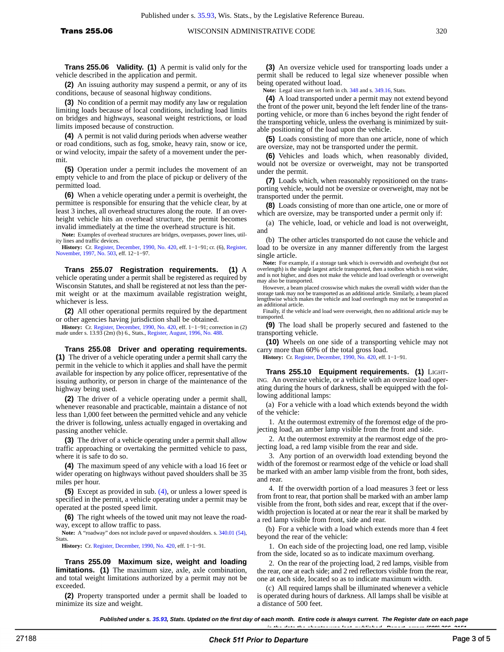**Trans 255.06 Validity. (1)** A permit is valid only for the vehicle described in the application and permit.

**(2)** An issuing authority may suspend a permit, or any of its conditions, because of seasonal highway conditions.

**(3)** No condition of a permit may modify any law or regulation limiting loads because of local conditions, including load limits on bridges and highways, seasonal weight restrictions, or load limits imposed because of construction.

**(4)** A permit is not valid during periods when adverse weather or road conditions, such as fog, smoke, heavy rain, snow or ice, or wind velocity, impair the safety of a movement under the permit.

**(5)** Operation under a permit includes the movement of an empty vehicle to and from the place of pickup or delivery of the permitted load.

**(6)** When a vehicle operating under a permit is overheight, the permittee is responsible for ensuring that the vehicle clear, by at least 3 inches, all overhead structures along the route. If an overheight vehicle hits an overhead structure, the permit becomes invalid immediately at the time the overhead structure is hit.

**Note:** Examples of overhead structures are bridges, overpasses, power lines, utility lines and traffic devices.

**History:** Cr. [Register, December, 1990, No. 420](http://docs.legis.wisconsin.gov/document/register/420/b/toc), eff. 1−1−91; cr. (6), [Register,](http://docs.legis.wisconsin.gov/document/register/503/b/toc) [November, 1997, No. 503,](http://docs.legis.wisconsin.gov/document/register/503/b/toc) eff. 12−1−97.

**Trans 255.07 Registration requirements. (1)** A vehicle operating under a permit shall be registered as required by Wisconsin Statutes, and shall be registered at not less than the permit weight or at the maximum available registration weight, whichever is less.

**(2)** All other operational permits required by the department or other agencies having jurisdiction shall be obtained.

**History:** Cr. [Register, December, 1990, No. 420,](http://docs.legis.wisconsin.gov/document/register/420/b/toc) eff. 1−1−91; correction in (2) made under s. 13.93 (2m) (b) 6., Stats., [Register, August, 1996, No. 488.](http://docs.legis.wisconsin.gov/document/register/488/b/toc)

### **Trans 255.08 Driver and operating requirements. (1)** The driver of a vehicle operating under a permit shall carry the permit in the vehicle to which it applies and shall have the permit available for inspection by any police officer, representative of the issuing authority, or person in charge of the maintenance of the highway being used.

**(2)** The driver of a vehicle operating under a permit shall, whenever reasonable and practicable, maintain a distance of not less than 1,000 feet between the permitted vehicle and any vehicle the driver is following, unless actually engaged in overtaking and passing another vehicle.

**(3)** The driver of a vehicle operating under a permit shall allow traffic approaching or overtaking the permitted vehicle to pass, where it is safe to do so.

**(4)** The maximum speed of any vehicle with a load 16 feet or wider operating on highways without paved shoulders shall be 35 miles per hour.

**(5)** Except as provided in sub. [\(4\),](http://docs.legis.wisconsin.gov/document/administrativecode/Trans%20255.08(4)) or unless a lower speed is specified in the permit, a vehicle operating under a permit may be operated at the posted speed limit.

**(6)** The right wheels of the towed unit may not leave the roadway, except to allow traffic to pass.

**Note:** A "roadway" does not include paved or unpaved shoulders. s. [340.01 \(54\)](http://docs.legis.wisconsin.gov/document/statutes/340.01(54)), Stats.

**History:** Cr. [Register, December, 1990, No. 420](http://docs.legis.wisconsin.gov/document/register/420/b/toc), eff. 1−1−91.

**Trans 255.09 Maximum size, weight and loading limitations. (1)** The maximum size, axle, axle combination, and total weight limitations authorized by a permit may not be exceeded.

**(2)** Property transported under a permit shall be loaded to minimize its size and weight.

**(3)** An oversize vehicle used for transporting loads under a permit shall be reduced to legal size whenever possible when being operated without load.

**Note:** Legal sizes are set forth in ch. [348](http://docs.legis.wisconsin.gov/document/statutes/ch.%20348) and s. [349.16,](http://docs.legis.wisconsin.gov/document/statutes/349.16) Stats.

**(4)** A load transported under a permit may not extend beyond the front of the power unit, beyond the left fender line of the transporting vehicle, or more than 6 inches beyond the right fender of the transporting vehicle, unless the overhang is minimized by suitable positioning of the load upon the vehicle.

**(5)** Loads consisting of more than one article, none of which are oversize, may not be transported under the permit.

**(6)** Vehicles and loads which, when reasonably divided, would not be oversize or overweight, may not be transported under the permit.

**(7)** Loads which, when reasonably repositioned on the transporting vehicle, would not be oversize or overweight, may not be transported under the permit.

**(8)** Loads consisting of more than one article, one or more of which are oversize, may be transported under a permit only if:

(a) The vehicle, load, or vehicle and load is not overweight, and

(b) The other articles transported do not cause the vehicle and load to be oversize in any manner differently from the largest single article.

**Note:** For example, if a storage tank which is overwidth and overheight (but not overlength) is the single largest article transported, then a toolbox which is not wider, and is not higher, and does not make the vehicle and load overlength or overweight may also be transported.

However, a beam placed crosswise which makes the overall width wider than the storage tank may not be transported as an additional article. Similarly, a beam placed lengthwise which makes the vehicle and load overlength may not be transported as an additional article.

Finally, if the vehicle and load were overweight, then no additional article may be transported.

**(9)** The load shall be properly secured and fastened to the transporting vehicle.

**(10)** Wheels on one side of a transporting vehicle may not carry more than 60% of the total gross load.

**History:** Cr. [Register, December, 1990, No. 420,](http://docs.legis.wisconsin.gov/document/register/420/b/toc) eff. 1−1−91.

**Trans 255.10 Equipment requirements. (1)** LIGHT-ING. An oversize vehicle, or a vehicle with an oversize load operating during the hours of darkness, shall be equipped with the following additional lamps:

(a) For a vehicle with a load which extends beyond the width of the vehicle:

1. At the outermost extremity of the foremost edge of the projecting load, an amber lamp visible from the front and side.

2. At the outermost extremity at the rearmost edge of the projecting load, a red lamp visible from the rear and side.

3. Any portion of an overwidth load extending beyond the width of the foremost or rearmost edge of the vehicle or load shall be marked with an amber lamp visible from the front, both sides, and rear.

4. If the overwidth portion of a load measures 3 feet or less from front to rear, that portion shall be marked with an amber lamp visible from the front, both sides and rear, except that if the overwidth projection is located at or near the rear it shall be marked by a red lamp visible from front, side and rear.

(b) For a vehicle with a load which extends more than 4 feet beyond the rear of the vehicle:

1. On each side of the projecting load, one red lamp, visible from the side, located so as to indicate maximum overhang.

2. On the rear of the projecting load, 2 red lamps, visible from the rear, one at each side; and 2 red reflectors visible from the rear, one at each side, located so as to indicate maximum width.

(c) All required lamps shall be illuminated whenever a vehicle is operated during hours of darkness. All lamps shall be visible at a distance of 500 feet.

**Published under s. [35.93,](http://docs.legis.wisconsin.gov/document/statutes/35.93) Stats. Updated on the first day of each month. Entire code is always current. The Register date on each page**

is the date the chapter was last published. Report export (**608) 200−3151.**<br>Is the date of the chapter July 2014 No. 7031. Register July 2014 No. 7031. Register July 2014 No. 7031. 7031.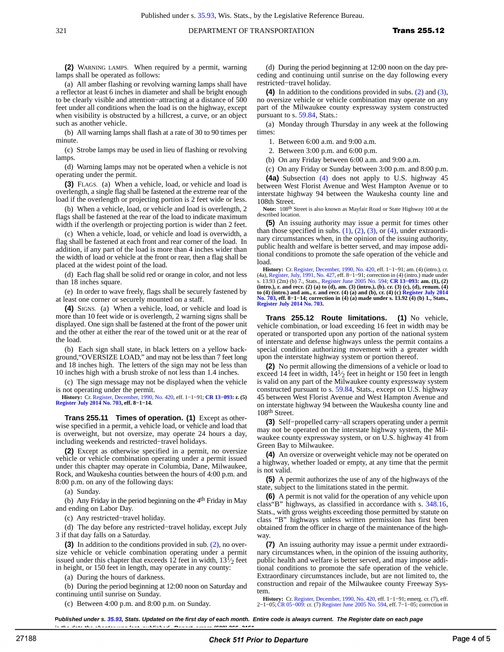**(2)** WARNING LAMPS. When required by a permit, warning lamps shall be operated as follows:

(a) All amber flashing or revolving warning lamps shall have a reflector at least 6 inches in diameter and shall be bright enough to be clearly visible and attention−attracting at a distance of 500 feet under all conditions when the load is on the highway, except when visibility is obstructed by a hillcrest, a curve, or an object such as another vehicle.

(b) All warning lamps shall flash at a rate of 30 to 90 times per minute.

(c) Strobe lamps may be used in lieu of flashing or revolving lamps.

(d) Warning lamps may not be operated when a vehicle is not operating under the permit.

**(3)** FLAGS. (a) When a vehicle, load, or vehicle and load is overlength, a single flag shall be fastened at the extreme rear of the load if the overlength or projecting portion is 2 feet wide or less.

(b) When a vehicle, load, or vehicle and load is overlength, 2 flags shall be fastened at the rear of the load to indicate maximum width if the overlength or projecting portion is wider than 2 feet.

(c) When a vehicle, load, or vehicle and load is overwidth, a flag shall be fastened at each front and rear corner of the load. In addition, if any part of the load is more than 4 inches wider than the width of load or vehicle at the front or rear, then a flag shall be placed at the widest point of the load.

(d) Each flag shall be solid red or orange in color, and not less than 18 inches square.

(e) In order to wave freely, flags shall be securely fastened by at least one corner or securely mounted on a staff.

**(4)** SIGNS. (a) When a vehicle, load, or vehicle and load is more than 10 feet wide or is overlength, 2 warning signs shall be displayed. One sign shall be fastened at the front of the power unit and the other at either the rear of the towed unit or at the rear of the load.

(b) Each sign shall state, in black letters on a yellow background,"OVERSIZE LOAD," and may not be less than 7 feet long and 18 inches high. The letters of the sign may not be less than 10 inches high with a brush stroke of not less than 1.4 inches.

(c) The sign message may not be displayed when the vehicle is not operating under the permit.

**History:** Cr. [Register, December, 1990, No. 420,](http://docs.legis.wisconsin.gov/document/register/420/b/toc) eff. 1−1−91; **[CR 13−093](http://docs.legis.wisconsin.gov/document/cr/2013/93): r. (5) [Register July 2014 No. 703](http://docs.legis.wisconsin.gov/document/register/703/b/toc), eff. 8−1−14.**

**Trans 255.11 Times of operation. (1)** Except as otherwise specified in a permit, a vehicle load, or vehicle and load that is overweight, but not oversize, may operate 24 hours a day, including weekends and restricted−travel holidays.

**(2)** Except as otherwise specified in a permit, no oversize vehicle or vehicle combination operating under a permit issued under this chapter may operate in Columbia, Dane, Milwaukee, Rock, and Waukesha counties between the hours of 4:00 p.m. and 8:00 p.m. on any of the following days:

(a) Sunday.

(b) Any Friday in the period beginning on the  $4<sup>th</sup>$  Friday in May and ending on Labor Day.

(c) Any restricted−travel holiday.

(d) The day before any restricted−travel holiday, except July 3 if that day falls on a Saturday.

**(3)** In addition to the conditions provided in sub. [\(2\)](http://docs.legis.wisconsin.gov/document/administrativecode/Trans%20255.11(2)), no oversize vehicle or vehicle combination operating under a permit issued under this chapter that exceeds  $12$  feet in width,  $13\frac{1}{2}$  feet in height, or 150 feet in length, may operate in any county:

(a) During the hours of darkness.

(b) During the period beginning at 12:00 noon on Saturday and continuing until sunrise on Sunday.

(c) Between 4:00 p.m. and 8:00 p.m. on Sunday.

(d) During the period beginning at 12:00 noon on the day preceding and continuing until sunrise on the day following every restricted−travel holiday.

**(4)** In addition to the conditions provided in subs. [\(2\)](http://docs.legis.wisconsin.gov/document/administrativecode/Trans%20255.11(2)) and [\(3\)](http://docs.legis.wisconsin.gov/document/administrativecode/Trans%20255.11(3)), no oversize vehicle or vehicle combination may operate on any part of the Milwaukee county expressway system constructed pursuant to s. [59.84,](http://docs.legis.wisconsin.gov/document/statutes/59.84) Stats.:

(a) Monday through Thursday in any week at the following times:

1. Between 6:00 a.m. and 9:00 a.m.

2. Between 3:00 p.m. and 6:00 p.m.

(b) On any Friday between 6:00 a.m. and 9:00 a.m.

(c) On any Friday or Sunday between 3:00 p.m. and 8:00 p.m.

**(4a)** Subsection [\(4\)](http://docs.legis.wisconsin.gov/document/administrativecode/Trans%20255.11(4)) does not apply to U.S. highway 45 between West Florist Avenue and West Hampton Avenue or to interstate highway 94 between the Waukesha county line and 108th Street.

**Note:** 108th Street is also known as Mayfair Road or State Highway 100 at the described location.

**(5)** An issuing authority may issue a permit for times other than those specified in subs.  $(1)$ ,  $(2)$ ,  $(3)$ , or  $(4)$ , under extraordinary circumstances when, in the opinion of the issuing authority, public health and welfare is better served, and may impose additional conditions to promote the safe operation of the vehicle and load.

**History:** Cr. [Register, December, 1990, No. 420,](http://docs.legis.wisconsin.gov/document/register/420/b/toc) eff. 1−1−91; am. (4) (intro.), cr. (4a), [Register, July, 1991, No. 427,](http://docs.legis.wisconsin.gov/document/register/427/b/toc) eff. 8−1−91; correction in (4) (intro.) made under s. 13.93 (2m) (b) 7., Stats., [Register June 2005 No. 594;](http://docs.legis.wisconsin.gov/document/register/594/b/toc) **[CR 13−093](http://docs.legis.wisconsin.gov/document/cr/2013/93): am. (1), (2) (intro.), r. and recr. (2) (a) to (d), am. (3) (intro.), (b). cr. (3) (c), (d), renum. (4) to (4) (intro.) and am., r. and recr. (4) (a) and (b), cr. (4) (c) [Register July 2014](http://docs.legis.wisconsin.gov/document/register/703/b/toc) [No. 703](http://docs.legis.wisconsin.gov/document/register/703/b/toc), eff. 8−1−14; correction in (4) (a) made under s. 13.92 (4) (b) 1., Stats., [Register July 2014 No. 703.](http://docs.legis.wisconsin.gov/document/register/703/b/toc)**

**Trans 255.12 Route limitations. (1)** No vehicle, vehicle combination, or load exceeding 16 feet in width may be operated or transported upon any portion of the national system of interstate and defense highways unless the permit contains a special condition authorizing movement with a greater width upon the interstate highway system or portion thereof.

**(2)** No permit allowing the dimensions of a vehicle or load to exceed 14 feet in width,  $14\frac{1}{2}$  feet in height or 150 feet in length is valid on any part of the Milwaukee county expressway system constructed pursuant to s. [59.84](http://docs.legis.wisconsin.gov/document/statutes/59.84), Stats., except on U.S. highway 45 between West Florist Avenue and West Hampton Avenue and on interstate highway 94 between the Waukesha county line and 108<sup>th</sup> Street.

**(3)** Self−propelled carry−all scrapers operating under a permit may not be operated on the interstate highway system, the Milwaukee county expressway system, or on U.S. highway 41 from Green Bay to Milwaukee.

**(4)** An oversize or overweight vehicle may not be operated on a highway, whether loaded or empty, at any time that the permit is not valid.

**(5)** A permit authorizes the use of any of the highways of the state, subject to the limitations stated in the permit.

**(6)** A permit is not valid for the operation of any vehicle upon class"B" highways, as classified in accordance with s. [348.16](http://docs.legis.wisconsin.gov/document/statutes/348.16), Stats., with gross weights exceeding those permitted by statute on class "B" highways unless written permission has first been obtained from the officer in charge of the maintenance of the highway.

**(7)** An issuing authority may issue a permit under extraordinary circumstances when, in the opinion of the issuing authority, public health and welfare is better served, and may impose additional conditions to promote the safe operation of the vehicle. Extraordinary circumstances include, but are not limited to, the construction and repair of the Milwaukee county Freeway System.

**History:** Cr. [Register, December, 1990, No. 420,](http://docs.legis.wisconsin.gov/document/register/420/b/toc) eff. 1–1–91; emerg. cr. (7), eff. 2–1–05; CR 05–009: cr. (7) [Register June 2005 No. 594,](http://docs.legis.wisconsin.gov/document/register/594/b/toc) eff. 7–1–05; correction in

**Published under s. [35.93,](http://docs.legis.wisconsin.gov/document/statutes/35.93) Stats. Updated on the first day of each month. Entire code is always current. The Register date on each page is the date the chapter was last published. Report errors (608) 266−3151.** Register July 2014 No. 703